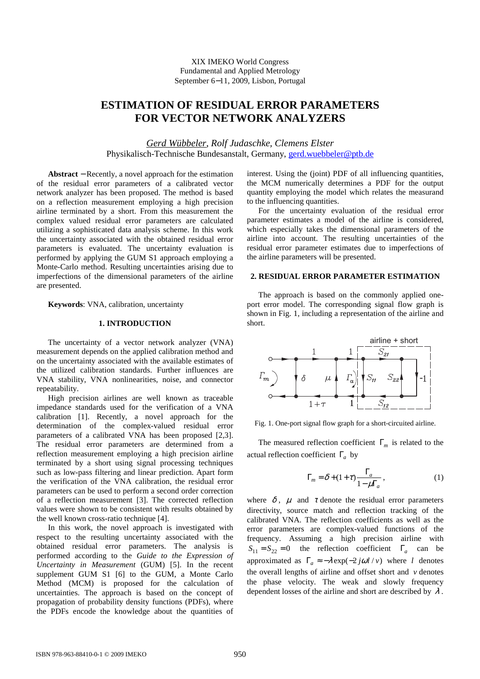# **ESTIMATION OF RESIDUAL ERROR PARAMETERS FOR VECTOR NETWORK ANALYZERS**

*Gerd Wübbeler*, *Rolf Judaschke, Clemens Elster*  Physikalisch-Technische Bundesanstalt, Germany, gerd.wuebbeler@ptb.de

**Abstract** − Recently, a novel approach for the estimation of the residual error parameters of a calibrated vector network analyzer has been proposed. The method is based on a reflection measurement employing a high precision airline terminated by a short. From this measurement the complex valued residual error parameters are calculated utilizing a sophisticated data analysis scheme. In this work the uncertainty associated with the obtained residual error parameters is evaluated. The uncertainty evaluation is performed by applying the GUM S1 approach employing a Monte-Carlo method. Resulting uncertainties arising due to imperfections of the dimensional parameters of the airline are presented.

**Keywords**: VNA, calibration, uncertainty

### **1. INTRODUCTION**

The uncertainty of a vector network analyzer (VNA) measurement depends on the applied calibration method and on the uncertainty associated with the available estimates of the utilized calibration standards. Further influences are VNA stability, VNA nonlinearities, noise, and connector repeatability.

High precision airlines are well known as traceable impedance standards used for the verification of a VNA calibration [1]. Recently, a novel approach for the determination of the complex-valued residual error parameters of a calibrated VNA has been proposed [2,3]. The residual error parameters are determined from a reflection measurement employing a high precision airline terminated by a short using signal processing techniques such as low-pass filtering and linear prediction. Apart form the verification of the VNA calibration, the residual error parameters can be used to perform a second order correction of a reflection measurement [3]. The corrected reflection values were shown to be consistent with results obtained by the well known cross-ratio technique [4].

In this work, the novel approach is investigated with respect to the resulting uncertainty associated with the obtained residual error parameters. The analysis is performed according to the *Guide to the Expression of Uncertainty in Measurement* (GUM) [5]. In the recent supplement GUM S1 [6] to the GUM, a Monte Carlo Method (MCM) is proposed for the calculation of uncertainties. The approach is based on the concept of propagation of probability density functions (PDFs), where the PDFs encode the knowledge about the quantities of

interest. Using the (joint) PDF of all influencing quantities, the MCM numerically determines a PDF for the output quantity employing the model which relates the measurand to the influencing quantities.

For the uncertainty evaluation of the residual error parameter estimates a model of the airline is considered, which especially takes the dimensional parameters of the airline into account. The resulting uncertainties of the residual error parameter estimates due to imperfections of the airline parameters will be presented.

#### **2. RESIDUAL ERROR PARAMETER ESTIMATION**

The approach is based on the commonly applied oneport error model. The corresponding signal flow graph is shown in Fig. 1, including a representation of the airline and short.



Fig. 1. One-port signal flow graph for a short-circuited airline.

The measured reflection coefficient Γ*m* is related to the actual reflection coefficient Γ*<sup>a</sup>* by

$$
\Gamma_m = \delta + (1 + \tau) \frac{\Gamma_a}{1 - \mu \Gamma_a},\tag{1}
$$

where  $\delta$ ,  $\mu$  and  $\tau$  denote the residual error parameters directivity, source match and reflection tracking of the calibrated VNA. The reflection coefficients as well as the error parameters are complex-valued functions of the frequency. Assuming a high precision airline with  $S_{11} = S_{22} = 0$  the reflection coefficient  $\Gamma_a$  can be approximated as  $\Gamma_a \approx -\lambda \exp(-2j\omega l/v)$  where *l* denotes the overall lengths of airline and offset short and  $\nu$  denotes the phase velocity. The weak and slowly frequency dependent losses of the airline and short are described by  $\lambda$ .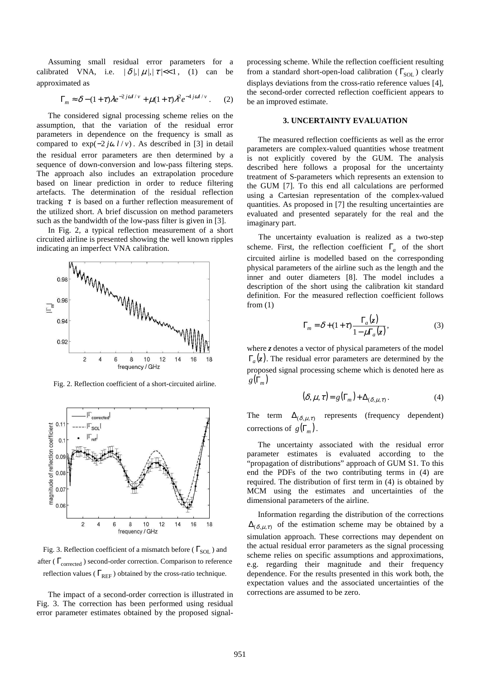Assuming small residual error parameters for a calibrated VNA, i.e.  $|\delta|, |\mu|, |\tau| < 1$ , (1) can be approximated as

$$
\Gamma_m \approx \delta - (1+\tau)\lambda e^{-2j\omega l/v} + \mu(1+\tau)\lambda^2 e^{-4j\omega l/v} \,. \tag{2}
$$

The considered signal processing scheme relies on the assumption, that the variation of the residual error parameters in dependence on the frequency is small as compared to  $exp(-2j\omega l/v)$ . As described in [3] in detail the residual error parameters are then determined by a sequence of down-conversion and low-pass filtering steps. The approach also includes an extrapolation procedure based on linear prediction in order to reduce filtering artefacts. The determination of the residual reflection tracking  $\tau$  is based on a further reflection measurement of the utilized short. A brief discussion on method parameters such as the bandwidth of the low-pass filter is given in [3].

In Fig. 2, a typical reflection measurement of a short circuited airline is presented showing the well known ripples indicating an imperfect VNA calibration.



Fig. 2. Reflection coefficient of a short-circuited airline.



Fig. 3. Reflection coefficient of a mismatch before ( $\Gamma_{\text{SOL}}$ ) and after ( $\Gamma_{\text{corrected}}$ ) second-order correction. Comparison to reference reflection values ( $\Gamma_{REF}$ ) obtained by the cross-ratio technique.

The impact of a second-order correction is illustrated in Fig. 3. The correction has been performed using residual error parameter estimates obtained by the proposed signalprocessing scheme. While the reflection coefficient resulting from a standard short-open-load calibration ( $\Gamma_{\text{SOL}}$ ) clearly displays deviations from the cross-ratio reference values [4], the second-order corrected reflection coefficient appears to be an improved estimate.

## **3. UNCERTAINTY EVALUATION**

The measured reflection coefficients as well as the error parameters are complex-valued quantities whose treatment is not explicitly covered by the GUM. The analysis described here follows a proposal for the uncertainty treatment of S-parameters which represents an extension to the GUM [7]. To this end all calculations are performed using a Cartesian representation of the complex-valued quantities. As proposed in [7] the resulting uncertainties are evaluated and presented separately for the real and the imaginary part.

The uncertainty evaluation is realized as a two-step scheme. First, the reflection coefficient  $\Gamma_a$  of the short circuited airline is modelled based on the corresponding physical parameters of the airline such as the length and the inner and outer diameters [8]. The model includes a description of the short using the calibration kit standard definition. For the measured reflection coefficient follows from  $(1)$ 

$$
\Gamma_m = \delta + (1 + \tau) \frac{\Gamma_a(z)}{1 - \mu \Gamma_a(z)},
$$
\n(3)

where *z* denotes a vector of physical parameters of the model  $\Gamma_a(z)$ . The residual error parameters are determined by the proposed signal processing scheme which is denoted here as  $g(\Gamma_m)$ 

$$
(\delta, \mu, \tau) = g(\Gamma_m) + \Delta_{(\delta, \mu, \tau)}.
$$
 (4)

The term  $\Delta_{(\delta,\mu,\tau)}$  represents (frequency dependent) corrections of  $g(\Gamma_m)$ .

The uncertainty associated with the residual error parameter estimates is evaluated according to the "propagation of distributions" approach of GUM S1. To this end the PDFs of the two contributing terms in (4) are required. The distribution of first term in (4) is obtained by MCM using the estimates and uncertainties of the dimensional parameters of the airline.

Information regarding the distribution of the corrections  $\Delta_{(\delta,\mu,\tau)}$  of the estimation scheme may be obtained by a simulation approach. These corrections may dependent on the actual residual error parameters as the signal processing scheme relies on specific assumptions and approximations, e.g. regarding their magnitude and their frequency dependence. For the results presented in this work both, the expectation values and the associated uncertainties of the corrections are assumed to be zero.